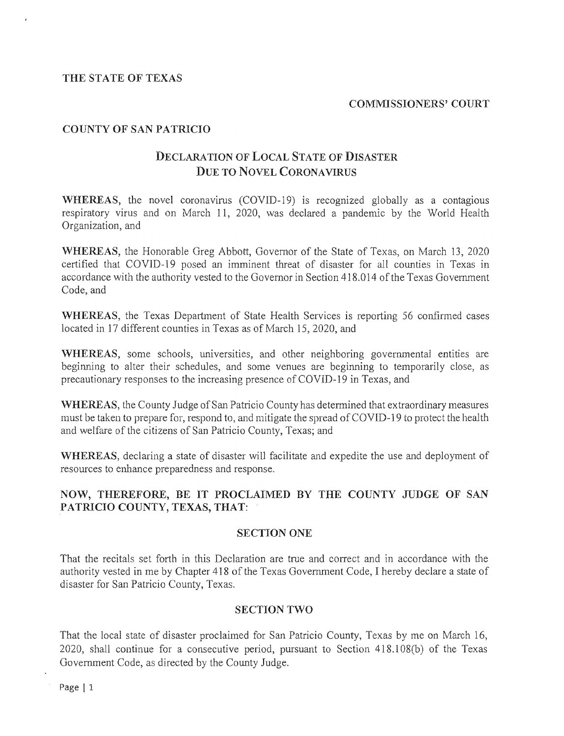### THE STATE OF TEXAS

### COMMISSIONERS' COURT

# COUNTY OF SAN PATRICIO

# DECLARATION OF LOCAL STATE OF DISASTER DUE TO NOVEL CORONA VIRUS

WHEREAS, the novel coronavirus  $(COVID-19)$  is recognized globally as a contagious respiratory virus and on March 11, 2020, was declared a pandemic by the World Health Organization, and

WHEREAS, the Honorable Greg Abbott, Governor of the State of Texas, on March 13, 2020 certified that COVID-19 posed an imminent threat of disaster for all counties in Texas in accordance with the authority vested to the Governor in Section 418.014 of the Texas Government Code, and

WHEREAS, the Texas Department of State Health Services is reporting 56 confirmed cases located in 17 different counties in Texas as of March 15, 2020, and

WHEREAS, some schools, universities, and other neighboring governmental entities are beginning to alter their schedules, and some venues are beginning to temporarily close, as precautionary responses to the increasing presence of COVID-19 in Texas, and

WHEREAS, the County Judge of San Patricio County has determined that extraordinary measures must be taken to prepare for, respond to, and mitigate the spread of COVID-19 to protect the health and welfare of the citizens of San Patricio County, Texas; and

WHEREAS, declaring a state of disaster will facilitate and expedite the use and deployment of resources to enhance preparedness and response.

# NOW, THEREFORE, BE IT PROCLAIMED BY THE COUNTY JUDGE OF SAN PATRICIO COUNTY, TEXAS, THAT:

## SECTION ONE

That the recitals set forth in this Declaration are true and correct and in accordance with the authority vested in me by Chapter 418 of the Texas Government Code, I hereby declare a state of disaster for San Patricio County, Texas.

# SECTION TWO

That the local state of disaster proclaimed for San Patricio County, Texas by me on March 16,  $2020$ , shall continue for a consecutive period, pursuant to Section  $418.108(b)$  of the Texas Government Code, as directed by the County Judge.